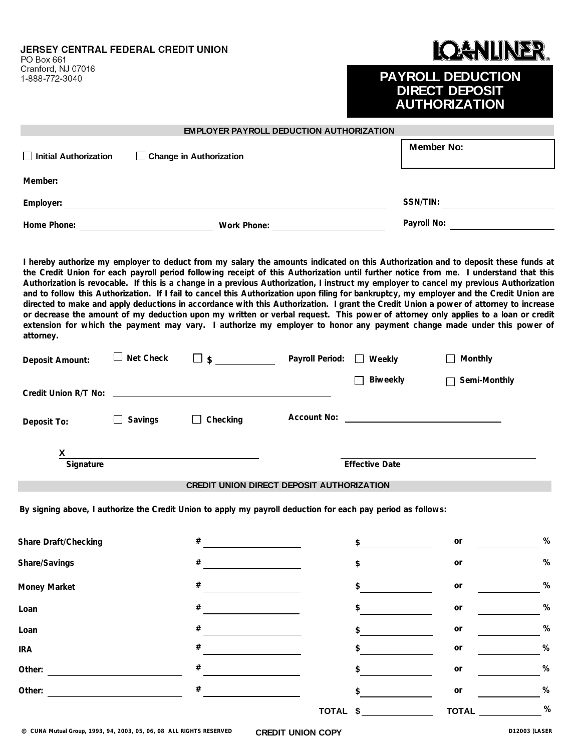JERSEY CENTRAL FEDERAL CREDIT UNION

PO Box 661 Cranford, NJ 07016 1-888-772-3040

#### **DANLINER.** K

### **PAYROLL DEDUCTION DIRECT DEPOSIT AUTHORIZATION**

|                                                         |                   | <b>EMPLOYER PAYROLL DEDUCTION AUTHORIZATION</b>                                                                                                                                                                                                                                                                                                                                                                                                                                                                                                                                                                                                                                                                                                                                                                                                                                                                                                                            |                        |                       |                         |      |
|---------------------------------------------------------|-------------------|----------------------------------------------------------------------------------------------------------------------------------------------------------------------------------------------------------------------------------------------------------------------------------------------------------------------------------------------------------------------------------------------------------------------------------------------------------------------------------------------------------------------------------------------------------------------------------------------------------------------------------------------------------------------------------------------------------------------------------------------------------------------------------------------------------------------------------------------------------------------------------------------------------------------------------------------------------------------------|------------------------|-----------------------|-------------------------|------|
| Initial Authorization<br>$\Box$ Change in Authorization |                   |                                                                                                                                                                                                                                                                                                                                                                                                                                                                                                                                                                                                                                                                                                                                                                                                                                                                                                                                                                            |                        | <b>Member No:</b>     |                         |      |
| Member:                                                 |                   |                                                                                                                                                                                                                                                                                                                                                                                                                                                                                                                                                                                                                                                                                                                                                                                                                                                                                                                                                                            |                        |                       |                         |      |
|                                                         |                   |                                                                                                                                                                                                                                                                                                                                                                                                                                                                                                                                                                                                                                                                                                                                                                                                                                                                                                                                                                            |                        |                       |                         |      |
|                                                         |                   |                                                                                                                                                                                                                                                                                                                                                                                                                                                                                                                                                                                                                                                                                                                                                                                                                                                                                                                                                                            |                        |                       | Payroll No: Payroll No: |      |
| attorney.                                               |                   | I hereby authorize my employer to deduct from my salary the amounts indicated on this Authorization and to deposit these funds at<br>the Credit Union for each payroll period following receipt of this Authorization until further notice from me. I understand that this<br>Authorization is revocable. If this is a change in a previous Authorization, I instruct my employer to cancel my previous Authorization<br>and to follow this Authorization. If I fail to cancel this Authorization upon filing for bankruptcy, my employer and the Credit Union are<br>directed to make and apply deductions in accordance with this Authorization. I grant the Credit Union a power of attorney to increase<br>or decrease the amount of my deduction upon my written or verbal request. This power of attorney only applies to a loan or credit<br>extension for which the payment may vary. I authorize my employer to honor any payment change made under this power of |                        |                       |                         |      |
| Deposit Amount:                                         | $\Box$ Net Check  |                                                                                                                                                                                                                                                                                                                                                                                                                                                                                                                                                                                                                                                                                                                                                                                                                                                                                                                                                                            | Payroll Period: Weekly |                       | $\Box$ Monthly          |      |
|                                                         |                   |                                                                                                                                                                                                                                                                                                                                                                                                                                                                                                                                                                                                                                                                                                                                                                                                                                                                                                                                                                            |                        | Biweekly<br>П         | Semi-Monthly            |      |
| Deposit To:                                             | Savings<br>$\Box$ | $\Box$ Checking                                                                                                                                                                                                                                                                                                                                                                                                                                                                                                                                                                                                                                                                                                                                                                                                                                                                                                                                                            |                        |                       |                         |      |
| Signature                                               |                   |                                                                                                                                                                                                                                                                                                                                                                                                                                                                                                                                                                                                                                                                                                                                                                                                                                                                                                                                                                            |                        | <b>Effective Date</b> |                         |      |
|                                                         |                   | CREDIT UNION DIRECT DEPOSIT AUTHORIZATION                                                                                                                                                                                                                                                                                                                                                                                                                                                                                                                                                                                                                                                                                                                                                                                                                                                                                                                                  |                        |                       |                         |      |
|                                                         |                   | By signing above, I authorize the Credit Union to apply my payroll deduction for each pay period as follows:                                                                                                                                                                                                                                                                                                                                                                                                                                                                                                                                                                                                                                                                                                                                                                                                                                                               |                        |                       |                         |      |
| <b>Share Draft/Checking</b>                             |                   | #                                                                                                                                                                                                                                                                                                                                                                                                                                                                                                                                                                                                                                                                                                                                                                                                                                                                                                                                                                          |                        | \$                    | or                      | %    |
| Share/Savings                                           |                   | #                                                                                                                                                                                                                                                                                                                                                                                                                                                                                                                                                                                                                                                                                                                                                                                                                                                                                                                                                                          |                        | \$                    | or                      | %    |
| Money Market                                            |                   | #                                                                                                                                                                                                                                                                                                                                                                                                                                                                                                                                                                                                                                                                                                                                                                                                                                                                                                                                                                          |                        | \$                    | $\mathop{\mathsf{or}}$  | $\%$ |
| Loan                                                    |                   | #                                                                                                                                                                                                                                                                                                                                                                                                                                                                                                                                                                                                                                                                                                                                                                                                                                                                                                                                                                          |                        | \$                    | or                      | $\%$ |
| Loan                                                    |                   | #                                                                                                                                                                                                                                                                                                                                                                                                                                                                                                                                                                                                                                                                                                                                                                                                                                                                                                                                                                          |                        | \$                    | or                      | $\%$ |
| <b>IRA</b>                                              |                   | #                                                                                                                                                                                                                                                                                                                                                                                                                                                                                                                                                                                                                                                                                                                                                                                                                                                                                                                                                                          |                        | \$                    | or                      | $\%$ |
| Other:                                                  |                   | #                                                                                                                                                                                                                                                                                                                                                                                                                                                                                                                                                                                                                                                                                                                                                                                                                                                                                                                                                                          |                        |                       | or                      | $\%$ |
| Other:                                                  |                   | #                                                                                                                                                                                                                                                                                                                                                                                                                                                                                                                                                                                                                                                                                                                                                                                                                                                                                                                                                                          |                        | \$                    | or                      | $\%$ |

**TOTAL \$**

**%**

**TOTAL**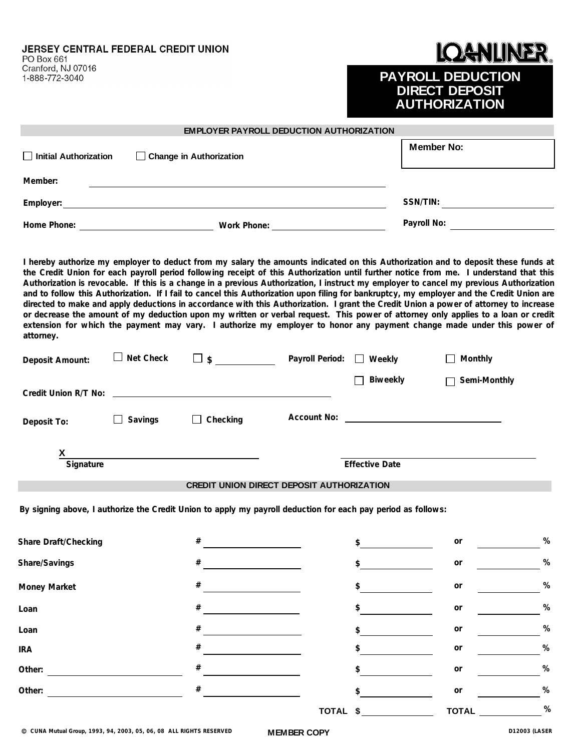JERSEY CENTRAL FEDERAL CREDIT UNION

PO Box 661 Cranford, NJ 07016 1-888-772-3040

#### ANUNER II (

#### **PAYROLL DEDUCTION DIRECT DEPOSIT AUTHORIZATION**

| <b>EMPLOYER PAYROLL DEDUCTION AUTHORIZATION</b><br>Initial Authorization<br>□ Change in Authorization |                  |                                                                                                                                                                                                                                                                                                                                                                                                                                                                                                                                                                                                                                                                                                                                                                                                                                                                                                                                                                            |                                                                                                                                                                                                                                      |                       | <b>Member No:</b>      |      |  |
|-------------------------------------------------------------------------------------------------------|------------------|----------------------------------------------------------------------------------------------------------------------------------------------------------------------------------------------------------------------------------------------------------------------------------------------------------------------------------------------------------------------------------------------------------------------------------------------------------------------------------------------------------------------------------------------------------------------------------------------------------------------------------------------------------------------------------------------------------------------------------------------------------------------------------------------------------------------------------------------------------------------------------------------------------------------------------------------------------------------------|--------------------------------------------------------------------------------------------------------------------------------------------------------------------------------------------------------------------------------------|-----------------------|------------------------|------|--|
| Member:                                                                                               |                  |                                                                                                                                                                                                                                                                                                                                                                                                                                                                                                                                                                                                                                                                                                                                                                                                                                                                                                                                                                            |                                                                                                                                                                                                                                      |                       |                        |      |  |
|                                                                                                       |                  | Employer: experience and a series of the series of the series of the series of the series of the series of the                                                                                                                                                                                                                                                                                                                                                                                                                                                                                                                                                                                                                                                                                                                                                                                                                                                             |                                                                                                                                                                                                                                      |                       |                        |      |  |
|                                                                                                       |                  |                                                                                                                                                                                                                                                                                                                                                                                                                                                                                                                                                                                                                                                                                                                                                                                                                                                                                                                                                                            |                                                                                                                                                                                                                                      |                       | Payroll No:            |      |  |
| attorney.                                                                                             |                  | I hereby authorize my employer to deduct from my salary the amounts indicated on this Authorization and to deposit these funds at<br>the Credit Union for each payroll period following receipt of this Authorization until further notice from me. I understand that this<br>Authorization is revocable. If this is a change in a previous Authorization, I instruct my employer to cancel my previous Authorization<br>and to follow this Authorization. If I fail to cancel this Authorization upon filing for bankruptcy, my employer and the Credit Union are<br>directed to make and apply deductions in accordance with this Authorization. I grant the Credit Union a power of attorney to increase<br>or decrease the amount of my deduction upon my written or verbal request. This power of attorney only applies to a loan or credit<br>extension for which the payment may vary. I authorize my employer to honor any payment change made under this power of |                                                                                                                                                                                                                                      |                       |                        |      |  |
| Deposit Amount:                                                                                       | $\Box$ Net Check |                                                                                                                                                                                                                                                                                                                                                                                                                                                                                                                                                                                                                                                                                                                                                                                                                                                                                                                                                                            |                                                                                                                                                                                                                                      |                       | $\Box$ Monthly         |      |  |
|                                                                                                       |                  |                                                                                                                                                                                                                                                                                                                                                                                                                                                                                                                                                                                                                                                                                                                                                                                                                                                                                                                                                                            |                                                                                                                                                                                                                                      | Biweekly              | Semi-Monthly<br>$\Box$ |      |  |
| Deposit To:                                                                                           | Savings          | $\Box$ Checking                                                                                                                                                                                                                                                                                                                                                                                                                                                                                                                                                                                                                                                                                                                                                                                                                                                                                                                                                            | Account No: <u>contract the contract of the contract of the contract of the contract of the contract of the contract of the contract of the contract of the contract of the contract of the contract of the contract of the cont</u> |                       |                        |      |  |
| Signature                                                                                             |                  | <u> 1989 - Johann Barbara, martxa alemaniar a</u>                                                                                                                                                                                                                                                                                                                                                                                                                                                                                                                                                                                                                                                                                                                                                                                                                                                                                                                          |                                                                                                                                                                                                                                      | <b>Effective Date</b> |                        |      |  |
|                                                                                                       |                  | CREDIT UNION DIRECT DEPOSIT AUTHORIZATION                                                                                                                                                                                                                                                                                                                                                                                                                                                                                                                                                                                                                                                                                                                                                                                                                                                                                                                                  |                                                                                                                                                                                                                                      |                       |                        |      |  |
|                                                                                                       |                  | By signing above, I authorize the Credit Union to apply my payroll deduction for each pay period as follows:                                                                                                                                                                                                                                                                                                                                                                                                                                                                                                                                                                                                                                                                                                                                                                                                                                                               |                                                                                                                                                                                                                                      |                       |                        |      |  |
| <b>Share Draft/Checking</b>                                                                           |                  | #                                                                                                                                                                                                                                                                                                                                                                                                                                                                                                                                                                                                                                                                                                                                                                                                                                                                                                                                                                          | \$                                                                                                                                                                                                                                   |                       | or                     | $\%$ |  |
| Share/Savings                                                                                         |                  | #                                                                                                                                                                                                                                                                                                                                                                                                                                                                                                                                                                                                                                                                                                                                                                                                                                                                                                                                                                          | \$                                                                                                                                                                                                                                   |                       | $\mathop{\mathsf{or}}$ | $\%$ |  |
| Money Market                                                                                          |                  | #                                                                                                                                                                                                                                                                                                                                                                                                                                                                                                                                                                                                                                                                                                                                                                                                                                                                                                                                                                          | \$                                                                                                                                                                                                                                   |                       | $\mathop{\mathsf{or}}$ | $\%$ |  |
| Loan                                                                                                  |                  | #                                                                                                                                                                                                                                                                                                                                                                                                                                                                                                                                                                                                                                                                                                                                                                                                                                                                                                                                                                          | \$                                                                                                                                                                                                                                   |                       | $\mathop{\mathsf{or}}$ | $\%$ |  |
| Loan                                                                                                  |                  | #                                                                                                                                                                                                                                                                                                                                                                                                                                                                                                                                                                                                                                                                                                                                                                                                                                                                                                                                                                          | \$                                                                                                                                                                                                                                   |                       | $\mathop{\mathsf{or}}$ | $\%$ |  |
| <b>IRA</b>                                                                                            |                  | #                                                                                                                                                                                                                                                                                                                                                                                                                                                                                                                                                                                                                                                                                                                                                                                                                                                                                                                                                                          | \$                                                                                                                                                                                                                                   |                       | or                     | $\%$ |  |
| Other:                                                                                                |                  | #                                                                                                                                                                                                                                                                                                                                                                                                                                                                                                                                                                                                                                                                                                                                                                                                                                                                                                                                                                          | \$                                                                                                                                                                                                                                   |                       | or                     | $\%$ |  |
| Other:                                                                                                |                  | #                                                                                                                                                                                                                                                                                                                                                                                                                                                                                                                                                                                                                                                                                                                                                                                                                                                                                                                                                                          | \$                                                                                                                                                                                                                                   |                       | or                     | $\%$ |  |

**MEMBER COPY**

**TOTAL TOTAL \$**

**%**